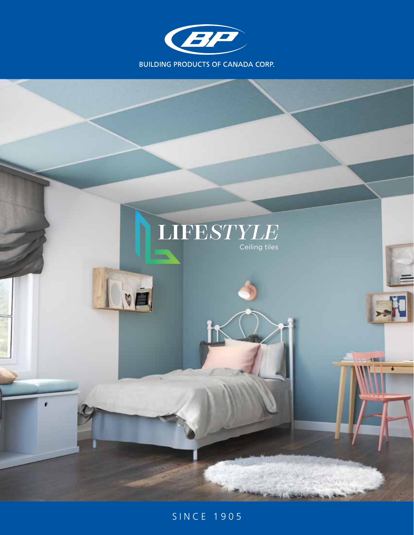



# SINCE 1905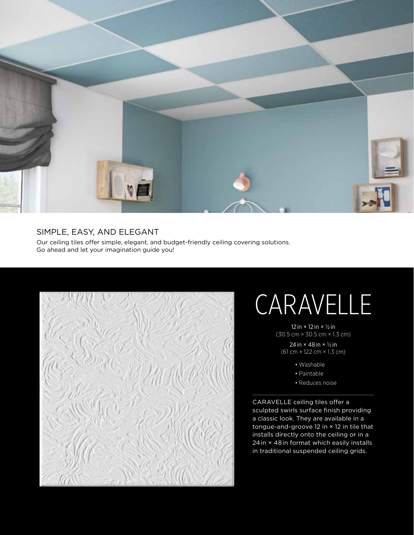

#### SIMPLE, EASY, AND ELEGANT

Our ceiling tiles offer simple, elegant, and budget-friendly ceiling covering solutions. Go ahead and let your imagination guide you!



# CARAVELLE

12 in × 12 in × ½ in (30.5 cm × 30.5 cm × 1.3 cm)

24 in × 48 in × ½ in (61 cm × 122 cm × 1.3 cm)

- Washable
- Paintable
- Reduces noise

CARAVELLE ceiling tiles offer a sculpted swirls surface finish providing a classic look. They are available in a tongue-and-groove 12 in × 12 in tile that installs directly onto the ceiling or in a 24 in × 48 in format which easily installs in traditional suspended ceiling grids.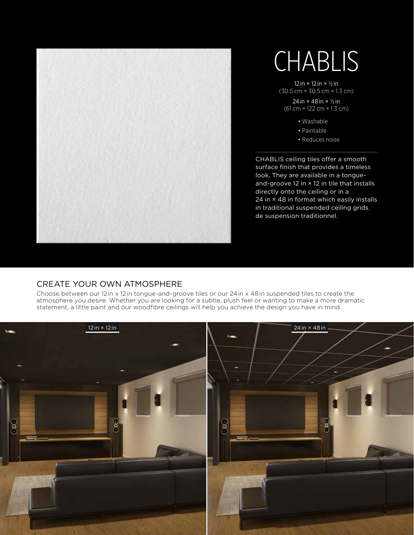

# CHABLIS

12 in × 12 in × ½ in (30.5 cm × 30.5 cm × 1.3 cm)

24 in × 48 in × ½ in (61 cm × 122 cm × 1.3 cm)

- Washable
- Paintable
- Reduces noise

CHABLIS ceiling tiles offer a smooth surface finish that provides a timeless look. They are available in a tongueand-groove 12 in × 12 in tile that installs directly onto the ceiling or in a 24 in × 48 in format which easily installs in traditional suspended ceiling grids. de suspension traditionnel.

#### CREATE YOUR OWN ATMOSPHERE

Choose between our 12in x 12in tongue-and-groove tiles or our 24in x 48in suspended tiles to create the atmosphere you desire. Whether you are looking for a subtle, plush feel or wanting to make a more dramatic statement, a little paint and our woodfibre ceilings will help you achieve the design you have in mind.

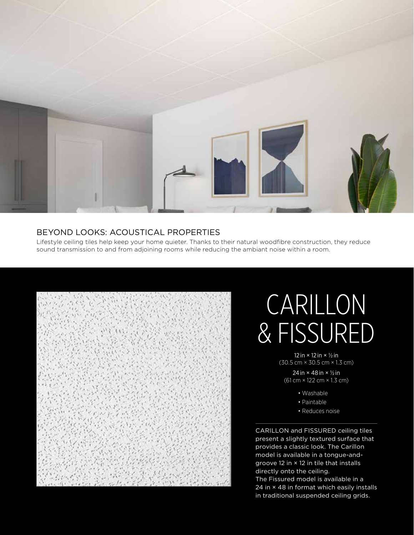

### BEYOND LOOKS: ACOUSTICAL PROPERTIES

Lifestyle ceiling tiles help keep your home quieter. Thanks to their natural woodfibre construction, they reduce sound transmission to and from adjoining rooms while reducing the ambiant noise within a room.



# **CARILLON** & FISSURED

12 in × 12 in × ½ in (30.5 cm × 30.5 cm × 1.3 cm)

24 in × 48 in × ½ in (61 cm × 122 cm × 1.3 cm)

- Washable
- Paintable
- Reduces noise

CARILLON and FISSURED ceiling tiles present a slightly textured surface that provides a classic look. The Carillon model is available in a tongue-andgroove 12 in × 12 in tile that installs directly onto the ceiling.

The Fissured model is available in a 24 in × 48 in format which easily installs in traditional suspended ceiling grids.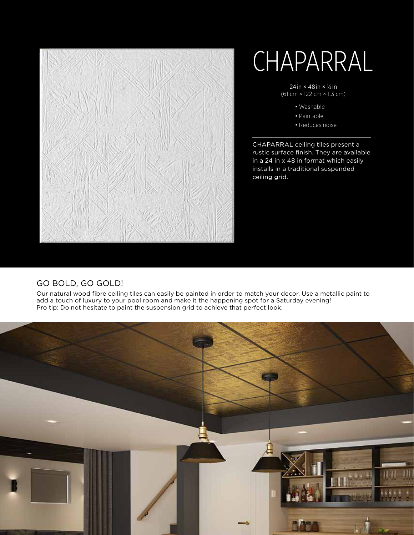

# CHAPARRAL

24 in × 48 in × ½ in (61 cm × 122 cm × 1.3 cm)

• Washable

• Paintable

• Reduces noise

CHAPARRAL ceiling tiles present a rustic surface finish. They are available in a 24 in x 48 in format which easily installs in a traditional suspended ceiling grid.

#### GO BOLD, GO GOLD!

Our natural wood fibre ceiling tiles can easily be painted in order to match your decor. Use a metallic paint to add a touch of luxury to your pool room and make it the happening spot for a Saturday evening! Pro tip: Do not hesitate to paint the suspension grid to achieve that perfect look.